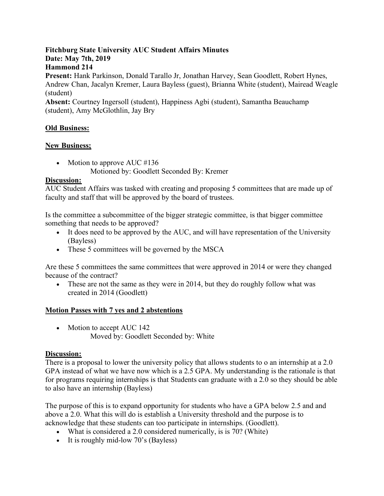#### **Fitchburg State University AUC Student Affairs Minutes Date: May 7th, 2019 Hammond 214**

**Present:** Hank Parkinson, Donald Tarallo Jr, Jonathan Harvey, Sean Goodlett, Robert Hynes, Andrew Chan, Jacalyn Kremer, Laura Bayless (guest), Brianna White (student), Mairead Weagle (student)

**Absent:** Courtney Ingersoll (student), Happiness Agbi (student), Samantha Beauchamp (student), Amy McGlothlin, Jay Bry

## **Old Business:**

## **New Business;**

- Motion to approve AUC #136
	- Motioned by: Goodlett Seconded By: Kremer

## **Discussion:**

AUC Student Affairs was tasked with creating and proposing 5 committees that are made up of faculty and staff that will be approved by the board of trustees.

Is the committee a subcommittee of the bigger strategic committee, is that bigger committee something that needs to be approved?

- It does need to be approved by the AUC, and will have representation of the University (Bayless)
- These 5 committees will be governed by the MSCA

Are these 5 committees the same committees that were approved in 2014 or were they changed because of the contract?

• These are not the same as they were in 2014, but they do roughly follow what was created in 2014 (Goodlett)

## **Motion Passes with 7 yes and 2 abstentions**

• Motion to accept AUC 142 Moved by: Goodlett Seconded by: White

# **Discussion:**

There is a proposal to lower the university policy that allows students to o an internship at a 2.0 GPA instead of what we have now which is a 2.5 GPA. My understanding is the rationale is that for programs requiring internships is that Students can graduate with a 2.0 so they should be able to also have an internship (Bayless)

The purpose of this is to expand opportunity for students who have a GPA below 2.5 and and above a 2.0. What this will do is establish a University threshold and the purpose is to acknowledge that these students can too participate in internships. (Goodlett).

- What is considered a 2.0 considered numerically, is is 70? (White)
- It is roughly mid-low 70's (Bayless)